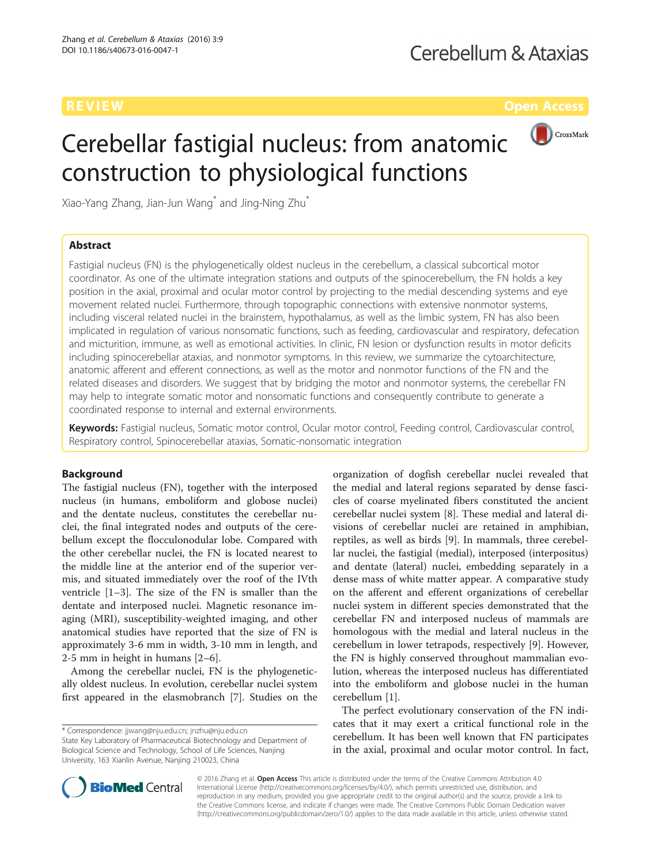

# Cerebellar fastigial nucleus: from anatomic construction to physiological functions

Xiao-Yang Zhang, Jian-Jun Wang\* and Jing-Ning Zhu\*

# Abstract

Fastigial nucleus (FN) is the phylogenetically oldest nucleus in the cerebellum, a classical subcortical motor coordinator. As one of the ultimate integration stations and outputs of the spinocerebellum, the FN holds a key position in the axial, proximal and ocular motor control by projecting to the medial descending systems and eye movement related nuclei. Furthermore, through topographic connections with extensive nonmotor systems, including visceral related nuclei in the brainstem, hypothalamus, as well as the limbic system, FN has also been implicated in regulation of various nonsomatic functions, such as feeding, cardiovascular and respiratory, defecation and micturition, immune, as well as emotional activities. In clinic, FN lesion or dysfunction results in motor deficits including spinocerebellar ataxias, and nonmotor symptoms. In this review, we summarize the cytoarchitecture, anatomic afferent and efferent connections, as well as the motor and nonmotor functions of the FN and the related diseases and disorders. We suggest that by bridging the motor and nonmotor systems, the cerebellar FN may help to integrate somatic motor and nonsomatic functions and consequently contribute to generate a coordinated response to internal and external environments.

Keywords: Fastigial nucleus, Somatic motor control, Ocular motor control, Feeding control, Cardiovascular control, Respiratory control, Spinocerebellar ataxias, Somatic-nonsomatic integration

# Background

The fastigial nucleus (FN), together with the interposed nucleus (in humans, emboliform and globose nuclei) and the dentate nucleus, constitutes the cerebellar nuclei, the final integrated nodes and outputs of the cerebellum except the flocculonodular lobe. Compared with the other cerebellar nuclei, the FN is located nearest to the middle line at the anterior end of the superior vermis, and situated immediately over the roof of the IVth ventricle [\[1](#page-7-0)–[3\]](#page-7-0). The size of the FN is smaller than the dentate and interposed nuclei. Magnetic resonance imaging (MRI), susceptibility-weighted imaging, and other anatomical studies have reported that the size of FN is approximately 3-6 mm in width, 3-10 mm in length, and 2-5 mm in height in humans [\[2](#page-7-0)–[6\]](#page-7-0).

Among the cerebellar nuclei, FN is the phylogenetically oldest nucleus. In evolution, cerebellar nuclei system first appeared in the elasmobranch [[7\]](#page-7-0). Studies on the

State Key Laboratory of Pharmaceutical Biotechnology and Department of Biological Science and Technology, School of Life Sciences, Nanjing University, 163 Xianlin Avenue, Nanjing 210023, China

organization of dogfish cerebellar nuclei revealed that the medial and lateral regions separated by dense fascicles of coarse myelinated fibers constituted the ancient cerebellar nuclei system [\[8](#page-7-0)]. These medial and lateral divisions of cerebellar nuclei are retained in amphibian, reptiles, as well as birds [\[9](#page-7-0)]. In mammals, three cerebellar nuclei, the fastigial (medial), interposed (interpositus) and dentate (lateral) nuclei, embedding separately in a dense mass of white matter appear. A comparative study on the afferent and efferent organizations of cerebellar nuclei system in different species demonstrated that the cerebellar FN and interposed nucleus of mammals are homologous with the medial and lateral nucleus in the cerebellum in lower tetrapods, respectively [\[9](#page-7-0)]. However, the FN is highly conserved throughout mammalian evolution, whereas the interposed nucleus has differentiated into the emboliform and globose nuclei in the human cerebellum [[1\]](#page-7-0).

The perfect evolutionary conservation of the FN indicates that it may exert a critical functional role in the cerebellum. It has been well known that FN participates in the axial, proximal and ocular motor control. In fact,



© 2016 Zhang et al. Open Access This article is distributed under the terms of the Creative Commons Attribution 4.0 International License [\(http://creativecommons.org/licenses/by/4.0/](http://creativecommons.org/licenses/by/4.0/)), which permits unrestricted use, distribution, and reproduction in any medium, provided you give appropriate credit to the original author(s) and the source, provide a link to the Creative Commons license, and indicate if changes were made. The Creative Commons Public Domain Dedication waiver [\(http://creativecommons.org/publicdomain/zero/1.0/](http://creativecommons.org/publicdomain/zero/1.0/)) applies to the data made available in this article, unless otherwise stated.

<sup>\*</sup> Correspondence: [jjwang@nju.edu.cn;](mailto:jjwang@nju.edu.cn) [jnzhu@nju.edu.cn](mailto:jnzhu@nju.edu.cn)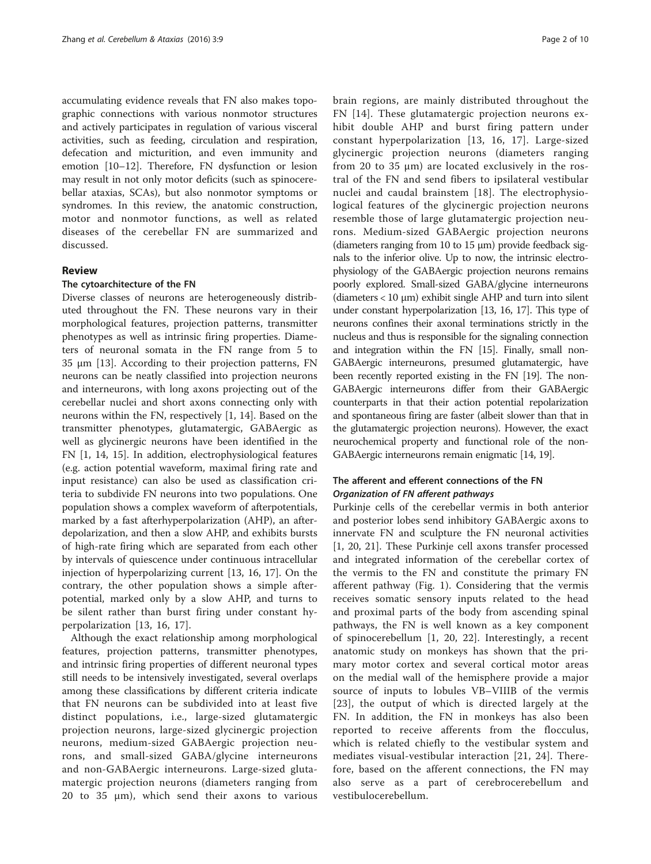accumulating evidence reveals that FN also makes topographic connections with various nonmotor structures and actively participates in regulation of various visceral activities, such as feeding, circulation and respiration, defecation and micturition, and even immunity and emotion [[10](#page-7-0)–[12](#page-7-0)]. Therefore, FN dysfunction or lesion may result in not only motor deficits (such as spinocerebellar ataxias, SCAs), but also nonmotor symptoms or syndromes. In this review, the anatomic construction, motor and nonmotor functions, as well as related diseases of the cerebellar FN are summarized and discussed.

# Review

### The cytoarchitecture of the FN

Diverse classes of neurons are heterogeneously distributed throughout the FN. These neurons vary in their morphological features, projection patterns, transmitter phenotypes as well as intrinsic firing properties. Diameters of neuronal somata in the FN range from 5 to 35 μm [\[13](#page-7-0)]. According to their projection patterns, FN neurons can be neatly classified into projection neurons and interneurons, with long axons projecting out of the cerebellar nuclei and short axons connecting only with neurons within the FN, respectively [\[1, 14\]](#page-7-0). Based on the transmitter phenotypes, glutamatergic, GABAergic as well as glycinergic neurons have been identified in the FN [\[1](#page-7-0), [14, 15\]](#page-7-0). In addition, electrophysiological features (e.g. action potential waveform, maximal firing rate and input resistance) can also be used as classification criteria to subdivide FN neurons into two populations. One population shows a complex waveform of afterpotentials, marked by a fast afterhyperpolarization (AHP), an afterdepolarization, and then a slow AHP, and exhibits bursts of high-rate firing which are separated from each other by intervals of quiescence under continuous intracellular injection of hyperpolarizing current [\[13](#page-7-0), [16, 17](#page-7-0)]. On the contrary, the other population shows a simple afterpotential, marked only by a slow AHP, and turns to be silent rather than burst firing under constant hyperpolarization [[13](#page-7-0), [16](#page-7-0), [17](#page-7-0)].

Although the exact relationship among morphological features, projection patterns, transmitter phenotypes, and intrinsic firing properties of different neuronal types still needs to be intensively investigated, several overlaps among these classifications by different criteria indicate that FN neurons can be subdivided into at least five distinct populations, i.e., large-sized glutamatergic projection neurons, large-sized glycinergic projection neurons, medium-sized GABAergic projection neurons, and small-sized GABA/glycine interneurons and non-GABAergic interneurons. Large-sized glutamatergic projection neurons (diameters ranging from 20 to 35 μm), which send their axons to various brain regions, are mainly distributed throughout the FN [[14\]](#page-7-0). These glutamatergic projection neurons exhibit double AHP and burst firing pattern under constant hyperpolarization [[13](#page-7-0), [16, 17](#page-7-0)]. Large-sized glycinergic projection neurons (diameters ranging from 20 to 35  $\mu$ m) are located exclusively in the rostral of the FN and send fibers to ipsilateral vestibular nuclei and caudal brainstem [[18](#page-7-0)]. The electrophysiological features of the glycinergic projection neurons resemble those of large glutamatergic projection neurons. Medium-sized GABAergic projection neurons (diameters ranging from 10 to 15 μm) provide feedback signals to the inferior olive. Up to now, the intrinsic electrophysiology of the GABAergic projection neurons remains poorly explored. Small-sized GABA/glycine interneurons (diameters < 10 μm) exhibit single AHP and turn into silent under constant hyperpolarization [[13](#page-7-0), [16](#page-7-0), [17\]](#page-7-0). This type of neurons confines their axonal terminations strictly in the nucleus and thus is responsible for the signaling connection and integration within the FN [\[15](#page-7-0)]. Finally, small non-GABAergic interneurons, presumed glutamatergic, have been recently reported existing in the FN [\[19\]](#page-7-0). The non-GABAergic interneurons differ from their GABAergic counterparts in that their action potential repolarization and spontaneous firing are faster (albeit slower than that in the glutamatergic projection neurons). However, the exact neurochemical property and functional role of the non-GABAergic interneurons remain enigmatic [\[14](#page-7-0), [19](#page-7-0)].

# The afferent and efferent connections of the FN Organization of FN afferent pathways

Purkinje cells of the cerebellar vermis in both anterior and posterior lobes send inhibitory GABAergic axons to innervate FN and sculpture the FN neuronal activities [[1, 20](#page-7-0), [21\]](#page-7-0). These Purkinje cell axons transfer processed and integrated information of the cerebellar cortex of the vermis to the FN and constitute the primary FN afferent pathway (Fig. [1\)](#page-2-0). Considering that the vermis receives somatic sensory inputs related to the head and proximal parts of the body from ascending spinal pathways, the FN is well known as a key component of spinocerebellum [\[1](#page-7-0), [20](#page-7-0), [22\]](#page-7-0). Interestingly, a recent anatomic study on monkeys has shown that the primary motor cortex and several cortical motor areas on the medial wall of the hemisphere provide a major source of inputs to lobules VB–VIIIB of the vermis [[23](#page-7-0)], the output of which is directed largely at the FN. In addition, the FN in monkeys has also been reported to receive afferents from the flocculus, which is related chiefly to the vestibular system and mediates visual-vestibular interaction [\[21, 24](#page-7-0)]. Therefore, based on the afferent connections, the FN may also serve as a part of cerebrocerebellum and vestibulocerebellum.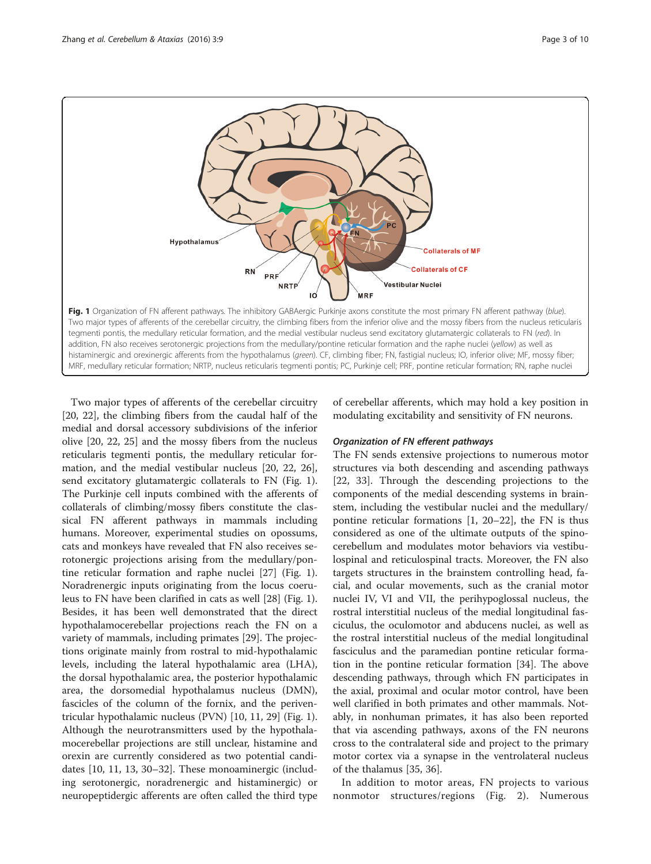<span id="page-2-0"></span>

Two major types of afferents of the cerebellar circuitry [[20, 22](#page-7-0)], the climbing fibers from the caudal half of the medial and dorsal accessory subdivisions of the inferior olive [\[20](#page-7-0), [22, 25](#page-7-0)] and the mossy fibers from the nucleus reticularis tegmenti pontis, the medullary reticular formation, and the medial vestibular nucleus [[20, 22, 26](#page-7-0)], send excitatory glutamatergic collaterals to FN (Fig. 1). The Purkinje cell inputs combined with the afferents of collaterals of climbing/mossy fibers constitute the classical FN afferent pathways in mammals including humans. Moreover, experimental studies on opossums, cats and monkeys have revealed that FN also receives serotonergic projections arising from the medullary/pontine reticular formation and raphe nuclei [\[27](#page-8-0)] (Fig. 1). Noradrenergic inputs originating from the locus coeruleus to FN have been clarified in cats as well [[28\]](#page-8-0) (Fig. 1). Besides, it has been well demonstrated that the direct hypothalamocerebellar projections reach the FN on a variety of mammals, including primates [[29\]](#page-8-0). The projections originate mainly from rostral to mid-hypothalamic levels, including the lateral hypothalamic area (LHA), the dorsal hypothalamic area, the posterior hypothalamic area, the dorsomedial hypothalamus nucleus (DMN), fascicles of the column of the fornix, and the periventricular hypothalamic nucleus (PVN) [[10, 11,](#page-7-0) [29\]](#page-8-0) (Fig. 1). Although the neurotransmitters used by the hypothalamocerebellar projections are still unclear, histamine and orexin are currently considered as two potential candidates [\[10, 11, 13](#page-7-0), [30](#page-8-0)–[32\]](#page-8-0). These monoaminergic (including serotonergic, noradrenergic and histaminergic) or neuropeptidergic afferents are often called the third type of cerebellar afferents, which may hold a key position in modulating excitability and sensitivity of FN neurons.

# Organization of FN efferent pathways

The FN sends extensive projections to numerous motor structures via both descending and ascending pathways [[22,](#page-7-0) [33\]](#page-8-0). Through the descending projections to the components of the medial descending systems in brainstem, including the vestibular nuclei and the medullary/ pontine reticular formations [\[1](#page-7-0), [20](#page-7-0)–[22](#page-7-0)], the FN is thus considered as one of the ultimate outputs of the spinocerebellum and modulates motor behaviors via vestibulospinal and reticulospinal tracts. Moreover, the FN also targets structures in the brainstem controlling head, facial, and ocular movements, such as the cranial motor nuclei IV, VI and VII, the perihypoglossal nucleus, the rostral interstitial nucleus of the medial longitudinal fasciculus, the oculomotor and abducens nuclei, as well as the rostral interstitial nucleus of the medial longitudinal fasciculus and the paramedian pontine reticular formation in the pontine reticular formation [[34](#page-8-0)]. The above descending pathways, through which FN participates in the axial, proximal and ocular motor control, have been well clarified in both primates and other mammals. Notably, in nonhuman primates, it has also been reported that via ascending pathways, axons of the FN neurons cross to the contralateral side and project to the primary motor cortex via a synapse in the ventrolateral nucleus of the thalamus [[35](#page-8-0), [36](#page-8-0)].

In addition to motor areas, FN projects to various nonmotor structures/regions (Fig. [2](#page-3-0)). Numerous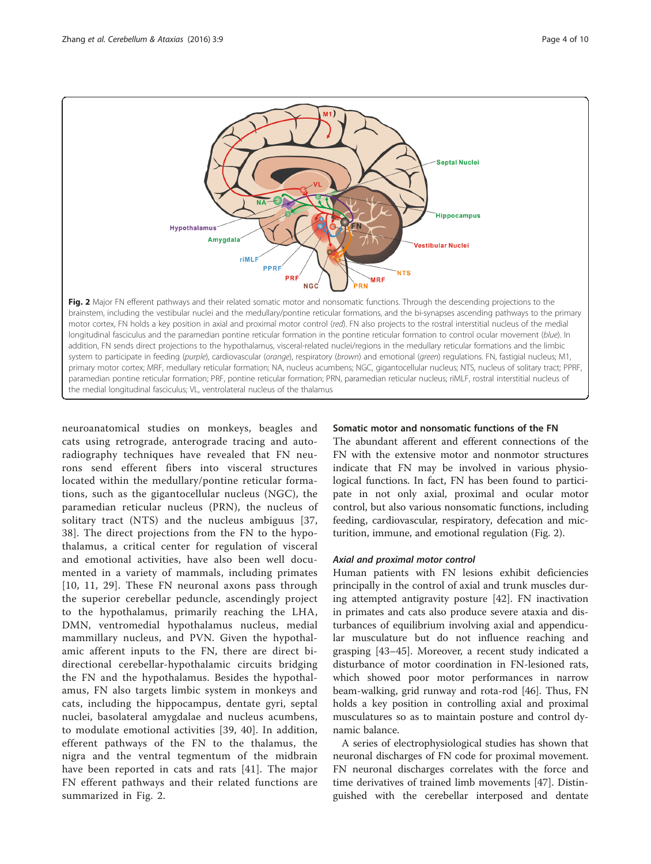<span id="page-3-0"></span>

motor cortex, FN holds a key position in axial and proximal motor control (red). FN also projects to the rostral interstitial nucleus of the medial longitudinal fasciculus and the paramedian pontine reticular formation in the pontine reticular formation to control ocular movement (blue). In addition, FN sends direct projections to the hypothalamus, visceral-related nuclei/regions in the medullary reticular formations and the limbic system to participate in feeding (purple), cardiovascular (orange), respiratory (brown) and emotional (green) regulations. FN, fastigial nucleus; M1, primary motor cortex; MRF, medullary reticular formation; NA, nucleus acumbens; NGC, gigantocellular nucleus; NTS, nucleus of solitary tract; PPRF, paramedian pontine reticular formation; PRF, pontine reticular formation; PRN, paramedian reticular nucleus; riMLF, rostral interstitial nucleus of the medial longitudinal fasciculus; VL, ventrolateral nucleus of the thalamus

neuroanatomical studies on monkeys, beagles and cats using retrograde, anterograde tracing and autoradiography techniques have revealed that FN neurons send efferent fibers into visceral structures located within the medullary/pontine reticular formations, such as the gigantocellular nucleus (NGC), the paramedian reticular nucleus (PRN), the nucleus of solitary tract (NTS) and the nucleus ambiguus [\[37](#page-8-0), [38\]](#page-8-0). The direct projections from the FN to the hypothalamus, a critical center for regulation of visceral and emotional activities, have also been well documented in a variety of mammals, including primates [[10](#page-7-0), [11](#page-7-0), [29\]](#page-8-0). These FN neuronal axons pass through the superior cerebellar peduncle, ascendingly project to the hypothalamus, primarily reaching the LHA, DMN, ventromedial hypothalamus nucleus, medial mammillary nucleus, and PVN. Given the hypothalamic afferent inputs to the FN, there are direct bidirectional cerebellar-hypothalamic circuits bridging the FN and the hypothalamus. Besides the hypothalamus, FN also targets limbic system in monkeys and cats, including the hippocampus, dentate gyri, septal nuclei, basolateral amygdalae and nucleus acumbens, to modulate emotional activities [[39](#page-8-0), [40\]](#page-8-0). In addition, efferent pathways of the FN to the thalamus, the nigra and the ventral tegmentum of the midbrain have been reported in cats and rats [[41](#page-8-0)]. The major FN efferent pathways and their related functions are summarized in Fig. 2.

# Somatic motor and nonsomatic functions of the FN

The abundant afferent and efferent connections of the FN with the extensive motor and nonmotor structures indicate that FN may be involved in various physiological functions. In fact, FN has been found to participate in not only axial, proximal and ocular motor control, but also various nonsomatic functions, including feeding, cardiovascular, respiratory, defecation and micturition, immune, and emotional regulation (Fig. 2).

# Axial and proximal motor control

Human patients with FN lesions exhibit deficiencies principally in the control of axial and trunk muscles during attempted antigravity posture [[42\]](#page-8-0). FN inactivation in primates and cats also produce severe ataxia and disturbances of equilibrium involving axial and appendicular musculature but do not influence reaching and grasping [[43](#page-8-0)–[45](#page-8-0)]. Moreover, a recent study indicated a disturbance of motor coordination in FN-lesioned rats, which showed poor motor performances in narrow beam-walking, grid runway and rota-rod [\[46](#page-8-0)]. Thus, FN holds a key position in controlling axial and proximal musculatures so as to maintain posture and control dynamic balance.

A series of electrophysiological studies has shown that neuronal discharges of FN code for proximal movement. FN neuronal discharges correlates with the force and time derivatives of trained limb movements [[47\]](#page-8-0). Distinguished with the cerebellar interposed and dentate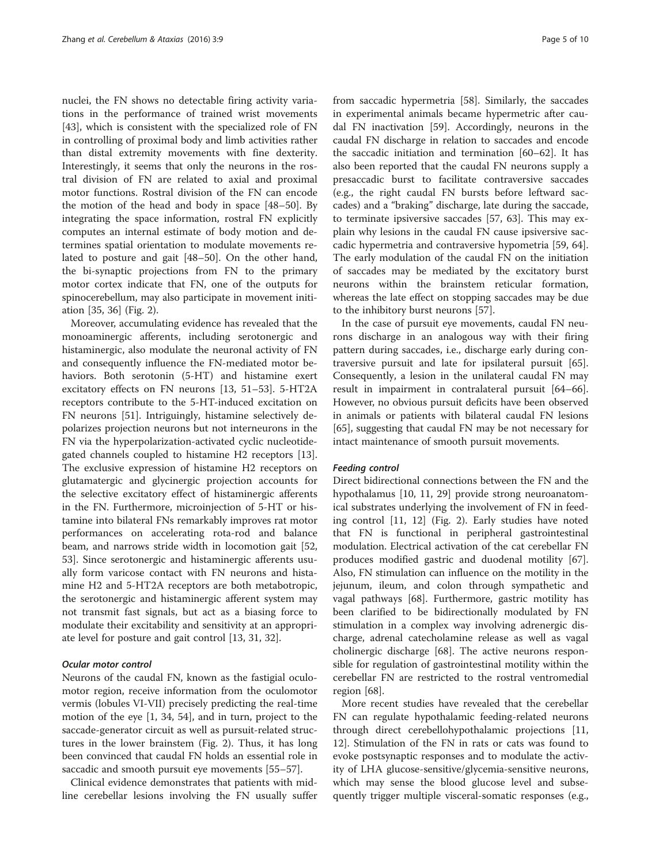nuclei, the FN shows no detectable firing activity variations in the performance of trained wrist movements [[43\]](#page-8-0), which is consistent with the specialized role of FN in controlling of proximal body and limb activities rather than distal extremity movements with fine dexterity. Interestingly, it seems that only the neurons in the rostral division of FN are related to axial and proximal motor functions. Rostral division of the FN can encode the motion of the head and body in space [\[48](#page-8-0)–[50\]](#page-8-0). By integrating the space information, rostral FN explicitly computes an internal estimate of body motion and determines spatial orientation to modulate movements related to posture and gait [\[48](#page-8-0)–[50\]](#page-8-0). On the other hand, the bi-synaptic projections from FN to the primary motor cortex indicate that FN, one of the outputs for spinocerebellum, may also participate in movement initiation [\[35](#page-8-0), [36](#page-8-0)] (Fig. [2\)](#page-3-0).

Moreover, accumulating evidence has revealed that the monoaminergic afferents, including serotonergic and histaminergic, also modulate the neuronal activity of FN and consequently influence the FN-mediated motor behaviors. Both serotonin (5-HT) and histamine exert excitatory effects on FN neurons [\[13](#page-7-0), [51](#page-8-0)–[53](#page-8-0)]. 5-HT2A receptors contribute to the 5-HT-induced excitation on FN neurons [\[51\]](#page-8-0). Intriguingly, histamine selectively depolarizes projection neurons but not interneurons in the FN via the hyperpolarization-activated cyclic nucleotidegated channels coupled to histamine H2 receptors [\[13](#page-7-0)]. The exclusive expression of histamine H2 receptors on glutamatergic and glycinergic projection accounts for the selective excitatory effect of histaminergic afferents in the FN. Furthermore, microinjection of 5-HT or histamine into bilateral FNs remarkably improves rat motor performances on accelerating rota-rod and balance beam, and narrows stride width in locomotion gait [[52](#page-8-0), [53\]](#page-8-0). Since serotonergic and histaminergic afferents usually form varicose contact with FN neurons and histamine H2 and 5-HT2A receptors are both metabotropic, the serotonergic and histaminergic afferent system may not transmit fast signals, but act as a biasing force to modulate their excitability and sensitivity at an appropriate level for posture and gait control [[13](#page-7-0), [31](#page-8-0), [32](#page-8-0)].

#### Ocular motor control

Neurons of the caudal FN, known as the fastigial oculomotor region, receive information from the oculomotor vermis (lobules VI-VII) precisely predicting the real-time motion of the eye [[1,](#page-7-0) [34](#page-8-0), [54\]](#page-8-0), and in turn, project to the saccade-generator circuit as well as pursuit-related structures in the lower brainstem (Fig. [2](#page-3-0)). Thus, it has long been convinced that caudal FN holds an essential role in saccadic and smooth pursuit eye movements [\[55](#page-8-0)–[57\]](#page-8-0).

Clinical evidence demonstrates that patients with midline cerebellar lesions involving the FN usually suffer

from saccadic hypermetria [\[58](#page-8-0)]. Similarly, the saccades in experimental animals became hypermetric after caudal FN inactivation [\[59](#page-8-0)]. Accordingly, neurons in the caudal FN discharge in relation to saccades and encode the saccadic initiation and termination [\[60](#page-8-0)–[62\]](#page-8-0). It has also been reported that the caudal FN neurons supply a presaccadic burst to facilitate contraversive saccades (e.g., the right caudal FN bursts before leftward saccades) and a "braking" discharge, late during the saccade, to terminate ipsiversive saccades [[57, 63\]](#page-8-0). This may explain why lesions in the caudal FN cause ipsiversive saccadic hypermetria and contraversive hypometria [\[59](#page-8-0), [64](#page-8-0)]. The early modulation of the caudal FN on the initiation of saccades may be mediated by the excitatory burst neurons within the brainstem reticular formation, whereas the late effect on stopping saccades may be due to the inhibitory burst neurons [[57\]](#page-8-0).

In the case of pursuit eye movements, caudal FN neurons discharge in an analogous way with their firing pattern during saccades, i.e., discharge early during contraversive pursuit and late for ipsilateral pursuit [\[65](#page-8-0)]. Consequently, a lesion in the unilateral caudal FN may result in impairment in contralateral pursuit [[64](#page-8-0)–[66](#page-8-0)]. However, no obvious pursuit deficits have been observed in animals or patients with bilateral caudal FN lesions [[65\]](#page-8-0), suggesting that caudal FN may be not necessary for intact maintenance of smooth pursuit movements.

#### Feeding control

Direct bidirectional connections between the FN and the hypothalamus [[10, 11](#page-7-0), [29\]](#page-8-0) provide strong neuroanatomical substrates underlying the involvement of FN in feeding control [[11, 12\]](#page-7-0) (Fig. [2\)](#page-3-0). Early studies have noted that FN is functional in peripheral gastrointestinal modulation. Electrical activation of the cat cerebellar FN produces modified gastric and duodenal motility [\[67](#page-8-0)]. Also, FN stimulation can influence on the motility in the jejunum, ileum, and colon through sympathetic and vagal pathways [\[68](#page-8-0)]. Furthermore, gastric motility has been clarified to be bidirectionally modulated by FN stimulation in a complex way involving adrenergic discharge, adrenal catecholamine release as well as vagal cholinergic discharge [[68\]](#page-8-0). The active neurons responsible for regulation of gastrointestinal motility within the cerebellar FN are restricted to the rostral ventromedial region [[68\]](#page-8-0).

More recent studies have revealed that the cerebellar FN can regulate hypothalamic feeding-related neurons through direct cerebellohypothalamic projections [[11](#page-7-0), [12\]](#page-7-0). Stimulation of the FN in rats or cats was found to evoke postsynaptic responses and to modulate the activity of LHA glucose-sensitive/glycemia-sensitive neurons, which may sense the blood glucose level and subsequently trigger multiple visceral-somatic responses (e.g.,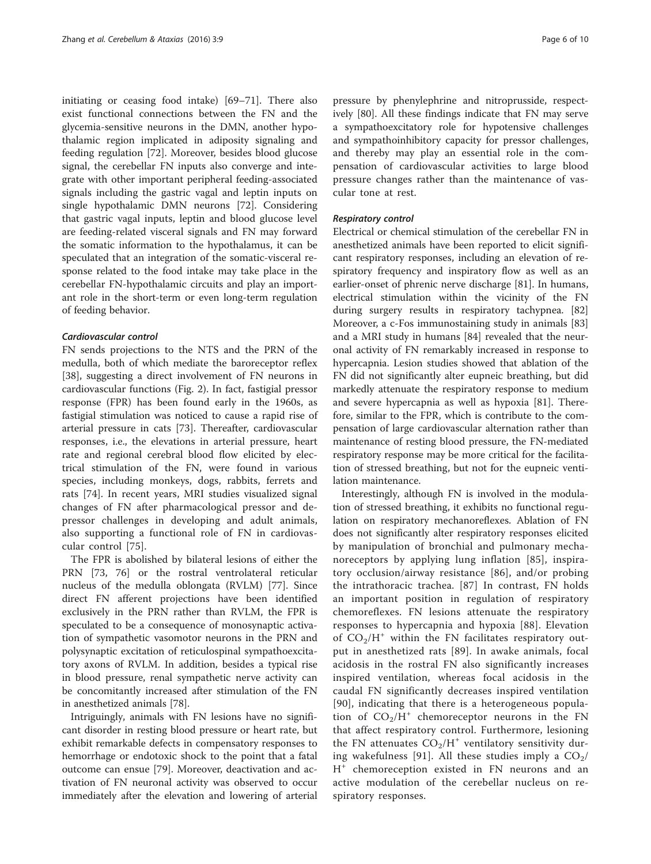initiating or ceasing food intake) [[69](#page-8-0)–[71](#page-8-0)]. There also exist functional connections between the FN and the glycemia-sensitive neurons in the DMN, another hypothalamic region implicated in adiposity signaling and feeding regulation [[72](#page-8-0)]. Moreover, besides blood glucose signal, the cerebellar FN inputs also converge and integrate with other important peripheral feeding-associated signals including the gastric vagal and leptin inputs on single hypothalamic DMN neurons [[72\]](#page-8-0). Considering that gastric vagal inputs, leptin and blood glucose level are feeding-related visceral signals and FN may forward the somatic information to the hypothalamus, it can be speculated that an integration of the somatic-visceral response related to the food intake may take place in the cerebellar FN-hypothalamic circuits and play an important role in the short-term or even long-term regulation of feeding behavior.

#### Cardiovascular control

FN sends projections to the NTS and the PRN of the medulla, both of which mediate the baroreceptor reflex [[38\]](#page-8-0), suggesting a direct involvement of FN neurons in cardiovascular functions (Fig. [2\)](#page-3-0). In fact, fastigial pressor response (FPR) has been found early in the 1960s, as fastigial stimulation was noticed to cause a rapid rise of arterial pressure in cats [\[73\]](#page-8-0). Thereafter, cardiovascular responses, i.e., the elevations in arterial pressure, heart rate and regional cerebral blood flow elicited by electrical stimulation of the FN, were found in various species, including monkeys, dogs, rabbits, ferrets and rats [\[74](#page-8-0)]. In recent years, MRI studies visualized signal changes of FN after pharmacological pressor and depressor challenges in developing and adult animals, also supporting a functional role of FN in cardiovascular control [[75\]](#page-8-0).

The FPR is abolished by bilateral lesions of either the PRN [\[73](#page-8-0), [76\]](#page-8-0) or the rostral ventrolateral reticular nucleus of the medulla oblongata (RVLM) [[77](#page-8-0)]. Since direct FN afferent projections have been identified exclusively in the PRN rather than RVLM, the FPR is speculated to be a consequence of monosynaptic activation of sympathetic vasomotor neurons in the PRN and polysynaptic excitation of reticulospinal sympathoexcitatory axons of RVLM. In addition, besides a typical rise in blood pressure, renal sympathetic nerve activity can be concomitantly increased after stimulation of the FN in anesthetized animals [\[78](#page-8-0)].

Intriguingly, animals with FN lesions have no significant disorder in resting blood pressure or heart rate, but exhibit remarkable defects in compensatory responses to hemorrhage or endotoxic shock to the point that a fatal outcome can ensue [[79](#page-8-0)]. Moreover, deactivation and activation of FN neuronal activity was observed to occur immediately after the elevation and lowering of arterial

pressure by phenylephrine and nitroprusside, respectively [[80\]](#page-8-0). All these findings indicate that FN may serve a sympathoexcitatory role for hypotensive challenges and sympathoinhibitory capacity for pressor challenges, and thereby may play an essential role in the compensation of cardiovascular activities to large blood pressure changes rather than the maintenance of vascular tone at rest.

# Respiratory control

Electrical or chemical stimulation of the cerebellar FN in anesthetized animals have been reported to elicit significant respiratory responses, including an elevation of respiratory frequency and inspiratory flow as well as an earlier-onset of phrenic nerve discharge [[81\]](#page-9-0). In humans, electrical stimulation within the vicinity of the FN during surgery results in respiratory tachypnea. [[82](#page-9-0)] Moreover, a c-Fos immunostaining study in animals [[83](#page-9-0)] and a MRI study in humans [[84](#page-9-0)] revealed that the neuronal activity of FN remarkably increased in response to hypercapnia. Lesion studies showed that ablation of the FN did not significantly alter eupneic breathing, but did markedly attenuate the respiratory response to medium and severe hypercapnia as well as hypoxia [\[81](#page-9-0)]. Therefore, similar to the FPR, which is contribute to the compensation of large cardiovascular alternation rather than maintenance of resting blood pressure, the FN-mediated respiratory response may be more critical for the facilitation of stressed breathing, but not for the eupneic ventilation maintenance.

Interestingly, although FN is involved in the modulation of stressed breathing, it exhibits no functional regulation on respiratory mechanoreflexes. Ablation of FN does not significantly alter respiratory responses elicited by manipulation of bronchial and pulmonary mechanoreceptors by applying lung inflation [[85](#page-9-0)], inspiratory occlusion/airway resistance [[86](#page-9-0)], and/or probing the intrathoracic trachea. [[87](#page-9-0)] In contrast, FN holds an important position in regulation of respiratory chemoreflexes. FN lesions attenuate the respiratory responses to hypercapnia and hypoxia [\[88](#page-9-0)]. Elevation of  $CO<sub>2</sub>/H<sup>+</sup>$  within the FN facilitates respiratory output in anesthetized rats [[89](#page-9-0)]. In awake animals, focal acidosis in the rostral FN also significantly increases inspired ventilation, whereas focal acidosis in the caudal FN significantly decreases inspired ventilation [[90](#page-9-0)], indicating that there is a heterogeneous population of  $CO<sub>2</sub>/H<sup>+</sup>$  chemoreceptor neurons in the FN that affect respiratory control. Furthermore, lesioning the FN attenuates  $CO<sub>2</sub>/H<sup>+</sup>$  ventilatory sensitivity dur-ing wakefulness [[91](#page-9-0)]. All these studies imply a  $CO<sub>2</sub>/$ H<sup>+</sup> chemoreception existed in FN neurons and an active modulation of the cerebellar nucleus on respiratory responses.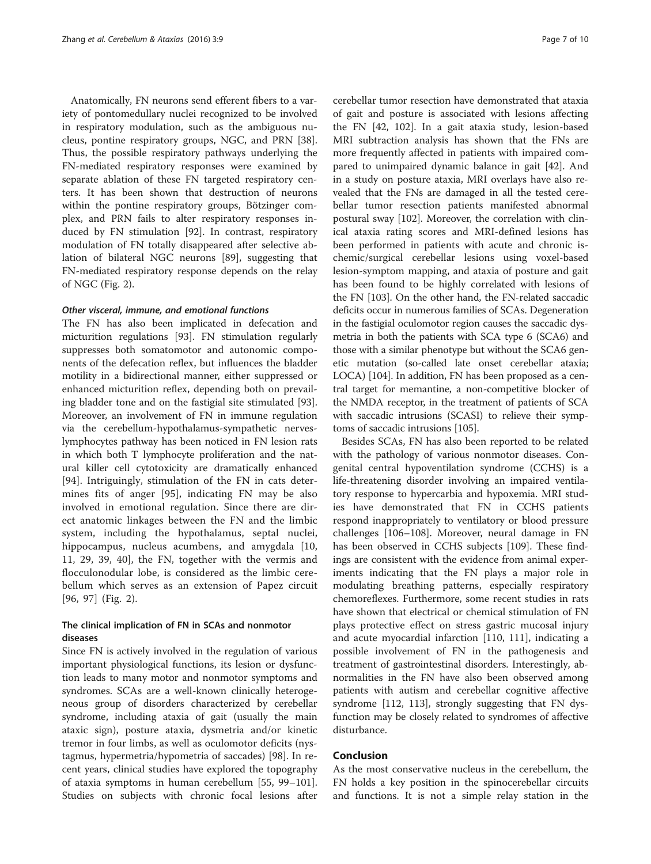Anatomically, FN neurons send efferent fibers to a variety of pontomedullary nuclei recognized to be involved in respiratory modulation, such as the ambiguous nucleus, pontine respiratory groups, NGC, and PRN [\[38](#page-8-0)]. Thus, the possible respiratory pathways underlying the FN-mediated respiratory responses were examined by separate ablation of these FN targeted respiratory centers. It has been shown that destruction of neurons within the pontine respiratory groups, Bötzinger complex, and PRN fails to alter respiratory responses induced by FN stimulation [\[92](#page-9-0)]. In contrast, respiratory modulation of FN totally disappeared after selective ablation of bilateral NGC neurons [[89\]](#page-9-0), suggesting that FN-mediated respiratory response depends on the relay of NGC (Fig. [2\)](#page-3-0).

#### Other visceral, immune, and emotional functions

The FN has also been implicated in defecation and micturition regulations [\[93\]](#page-9-0). FN stimulation regularly suppresses both somatomotor and autonomic components of the defecation reflex, but influences the bladder motility in a bidirectional manner, either suppressed or enhanced micturition reflex, depending both on prevailing bladder tone and on the fastigial site stimulated [\[93](#page-9-0)]. Moreover, an involvement of FN in immune regulation via the cerebellum-hypothalamus-sympathetic nerveslymphocytes pathway has been noticed in FN lesion rats in which both T lymphocyte proliferation and the natural killer cell cytotoxicity are dramatically enhanced [[94\]](#page-9-0). Intriguingly, stimulation of the FN in cats determines fits of anger [[95\]](#page-9-0), indicating FN may be also involved in emotional regulation. Since there are direct anatomic linkages between the FN and the limbic system, including the hypothalamus, septal nuclei, hippocampus, nucleus acumbens, and amygdala [\[10](#page-7-0), [11,](#page-7-0) [29](#page-8-0), [39](#page-8-0), [40\]](#page-8-0), the FN, together with the vermis and flocculonodular lobe, is considered as the limbic cerebellum which serves as an extension of Papez circuit [[96, 97](#page-9-0)] (Fig. [2](#page-3-0)).

# The clinical implication of FN in SCAs and nonmotor diseases

Since FN is actively involved in the regulation of various important physiological functions, its lesion or dysfunction leads to many motor and nonmotor symptoms and syndromes. SCAs are a well-known clinically heterogeneous group of disorders characterized by cerebellar syndrome, including ataxia of gait (usually the main ataxic sign), posture ataxia, dysmetria and/or kinetic tremor in four limbs, as well as oculomotor deficits (nystagmus, hypermetria/hypometria of saccades) [\[98\]](#page-9-0). In recent years, clinical studies have explored the topography of ataxia symptoms in human cerebellum [[55,](#page-8-0) [99](#page-9-0)–[101](#page-9-0)]. Studies on subjects with chronic focal lesions after

cerebellar tumor resection have demonstrated that ataxia of gait and posture is associated with lesions affecting the FN [[42,](#page-8-0) [102\]](#page-9-0). In a gait ataxia study, lesion-based MRI subtraction analysis has shown that the FNs are more frequently affected in patients with impaired compared to unimpaired dynamic balance in gait [[42\]](#page-8-0). And in a study on posture ataxia, MRI overlays have also revealed that the FNs are damaged in all the tested cerebellar tumor resection patients manifested abnormal postural sway [\[102\]](#page-9-0). Moreover, the correlation with clinical ataxia rating scores and MRI-defined lesions has been performed in patients with acute and chronic ischemic/surgical cerebellar lesions using voxel-based lesion-symptom mapping, and ataxia of posture and gait has been found to be highly correlated with lesions of the FN [\[103\]](#page-9-0). On the other hand, the FN-related saccadic deficits occur in numerous families of SCAs. Degeneration in the fastigial oculomotor region causes the saccadic dysmetria in both the patients with SCA type 6 (SCA6) and those with a similar phenotype but without the SCA6 genetic mutation (so-called late onset cerebellar ataxia; LOCA) [\[104\]](#page-9-0). In addition, FN has been proposed as a central target for memantine, a non-competitive blocker of the NMDA receptor, in the treatment of patients of SCA with saccadic intrusions (SCASI) to relieve their symptoms of saccadic intrusions [[105](#page-9-0)].

Besides SCAs, FN has also been reported to be related with the pathology of various nonmotor diseases. Congenital central hypoventilation syndrome (CCHS) is a life-threatening disorder involving an impaired ventilatory response to hypercarbia and hypoxemia. MRI studies have demonstrated that FN in CCHS patients respond inappropriately to ventilatory or blood pressure challenges [[106](#page-9-0)–[108](#page-9-0)]. Moreover, neural damage in FN has been observed in CCHS subjects [[109\]](#page-9-0). These findings are consistent with the evidence from animal experiments indicating that the FN plays a major role in modulating breathing patterns, especially respiratory chemoreflexes. Furthermore, some recent studies in rats have shown that electrical or chemical stimulation of FN plays protective effect on stress gastric mucosal injury and acute myocardial infarction [[110, 111\]](#page-9-0), indicating a possible involvement of FN in the pathogenesis and treatment of gastrointestinal disorders. Interestingly, abnormalities in the FN have also been observed among patients with autism and cerebellar cognitive affective syndrome [[112](#page-9-0), [113\]](#page-9-0), strongly suggesting that FN dysfunction may be closely related to syndromes of affective disturbance.

# Conclusion

As the most conservative nucleus in the cerebellum, the FN holds a key position in the spinocerebellar circuits and functions. It is not a simple relay station in the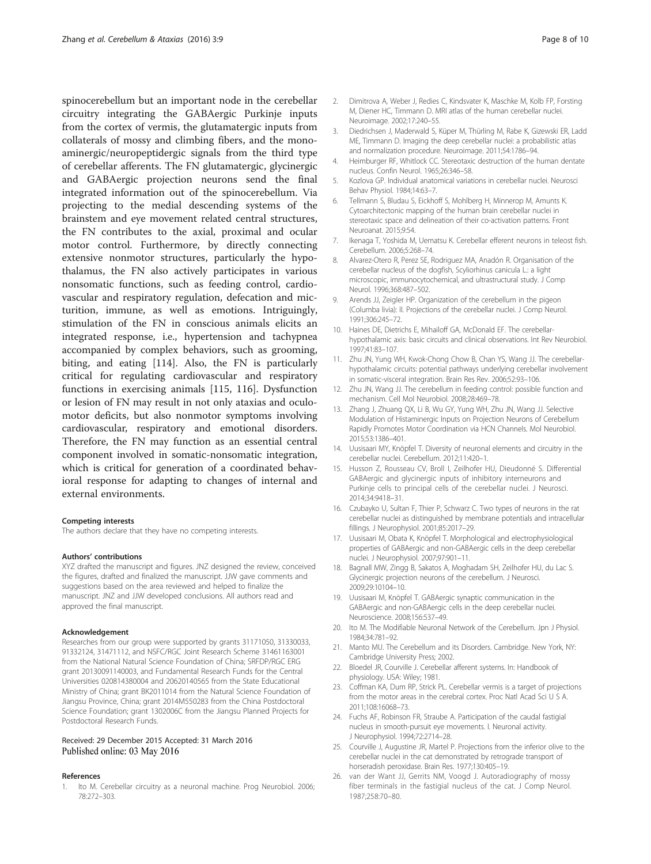<span id="page-7-0"></span>spinocerebellum but an important node in the cerebellar circuitry integrating the GABAergic Purkinje inputs from the cortex of vermis, the glutamatergic inputs from collaterals of mossy and climbing fibers, and the monoaminergic/neuropeptidergic signals from the third type of cerebellar afferents. The FN glutamatergic, glycinergic and GABAergic projection neurons send the final integrated information out of the spinocerebellum. Via projecting to the medial descending systems of the brainstem and eye movement related central structures, the FN contributes to the axial, proximal and ocular motor control. Furthermore, by directly connecting extensive nonmotor structures, particularly the hypothalamus, the FN also actively participates in various nonsomatic functions, such as feeding control, cardiovascular and respiratory regulation, defecation and micturition, immune, as well as emotions. Intriguingly, stimulation of the FN in conscious animals elicits an integrated response, i.e., hypertension and tachypnea accompanied by complex behaviors, such as grooming, biting, and eating [[114\]](#page-9-0). Also, the FN is particularly critical for regulating cardiovascular and respiratory functions in exercising animals [\[115, 116](#page-9-0)]. Dysfunction or lesion of FN may result in not only ataxias and oculomotor deficits, but also nonmotor symptoms involving cardiovascular, respiratory and emotional disorders. Therefore, the FN may function as an essential central component involved in somatic-nonsomatic integration, which is critical for generation of a coordinated behavioral response for adapting to changes of internal and external environments.

#### Competing interests

The authors declare that they have no competing interests.

#### Authors' contributions

XYZ drafted the manuscript and figures. JNZ designed the review, conceived the figures, drafted and finalized the manuscript. JJW gave comments and suggestions based on the area reviewed and helped to finalize the manuscript. JNZ and JJW developed conclusions. All authors read and approved the final manuscript.

#### Acknowledgement

Researches from our group were supported by grants 31171050, 31330033, 91332124, 31471112, and NSFC/RGC Joint Research Scheme 31461163001 from the National Natural Science Foundation of China; SRFDP/RGC ERG grant 20130091140003, and Fundamental Research Funds for the Central Universities 020814380004 and 20620140565 from the State Educational Ministry of China; grant BK2011014 from the Natural Science Foundation of Jiangsu Province, China; grant 2014M550283 from the China Postdoctoral Science Foundation; grant 1302006C from the Jiangsu Planned Projects for Postdoctoral Research Funds.

## Received: 29 December 2015 Accepted: 31 March 2016 Published online: 03 May 2016

#### References

1. Ito M. Cerebellar circuitry as a neuronal machine. Prog Neurobiol. 2006; 78:272–303.

- 2. Dimitrova A, Weber J, Redies C, Kindsvater K, Maschke M, Kolb FP, Forsting M, Diener HC, Timmann D. MRI atlas of the human cerebellar nuclei. Neuroimage. 2002;17:240–55.
- 3. Diedrichsen J, Maderwald S, Küper M, Thürling M, Rabe K, Gizewski ER, Ladd ME, Timmann D. Imaging the deep cerebellar nuclei: a probabilistic atlas and normalization procedure. Neuroimage. 2011;54:1786–94.
- 4. Heimburger RF, Whitlock CC. Stereotaxic destruction of the human dentate nucleus. Confin Neurol. 1965;26:346–58.
- 5. Kozlova GP. Individual anatomical variations in cerebellar nuclei. Neurosci Behav Physiol. 1984;14:63–7.
- 6. Tellmann S, Bludau S, Eickhoff S, Mohlberg H, Minnerop M, Amunts K. Cytoarchitectonic mapping of the human brain cerebellar nuclei in stereotaxic space and delineation of their co-activation patterns. Front Neuroanat. 2015;9:54.
- 7. Ikenaga T, Yoshida M, Uematsu K. Cerebellar efferent neurons in teleost fish. Cerebellum. 2006;5:268–74.
- 8. Alvarez-Otero R, Perez SE, Rodriguez MA, Anadón R. Organisation of the cerebellar nucleus of the dogfish, Scyliorhinus canicula L.: a light microscopic, immunocytochemical, and ultrastructural study. J Comp Neurol. 1996;368:487–502.
- 9. Arends JJ, Zeigler HP. Organization of the cerebellum in the pigeon (Columba livia): II. Projections of the cerebellar nuclei. J Comp Neurol. 1991;306:245–72.
- 10. Haines DE, Dietrichs E, Mihailoff GA, McDonald EF. The cerebellarhypothalamic axis: basic circuits and clinical observations. Int Rev Neurobiol. 1997;41:83–107.
- 11. Zhu JN, Yung WH, Kwok-Chong Chow B, Chan YS, Wang JJ. The cerebellarhypothalamic circuits: potential pathways underlying cerebellar involvement in somatic-visceral integration. Brain Res Rev. 2006;52:93–106.
- 12. Zhu JN, Wang JJ. The cerebellum in feeding control: possible function and mechanism. Cell Mol Neurobiol. 2008;28:469–78.
- 13. Zhang J, Zhuang QX, Li B, Wu GY, Yung WH, Zhu JN, Wang JJ. Selective Modulation of Histaminergic Inputs on Projection Neurons of Cerebellum Rapidly Promotes Motor Coordination via HCN Channels. Mol Neurobiol. 2015;53:1386–401.
- 14. Uusisaari MY, Knöpfel T. Diversity of neuronal elements and circuitry in the cerebellar nuclei. Cerebellum. 2012;11:420–1.
- 15. Husson Z, Rousseau CV, Broll I, Zeilhofer HU, Dieudonné S. Differential GABAergic and glycinergic inputs of inhibitory interneurons and Purkinje cells to principal cells of the cerebellar nuclei. J Neurosci. 2014;34:9418–31.
- 16. Czubayko U, Sultan F, Thier P, Schwarz C. Two types of neurons in the rat cerebellar nuclei as distinguished by membrane potentials and intracellular fillings. J Neurophysiol. 2001;85:2017–29.
- 17. Uusisaari M, Obata K, Knöpfel T. Morphological and electrophysiological properties of GABAergic and non-GABAergic cells in the deep cerebellar nuclei. J Neurophysiol. 2007;97:901–11.
- 18. Bagnall MW, Zingg B, Sakatos A, Moghadam SH, Zeilhofer HU, du Lac S. Glycinergic projection neurons of the cerebellum. J Neurosci. 2009;29:10104–10.
- 19. Uusisaari M, Knöpfel T. GABAergic synaptic communication in the GABAergic and non-GABAergic cells in the deep cerebellar nuclei. Neuroscience. 2008;156:537–49.
- 20. Ito M. The Modifiable Neuronal Network of the Cerebellum. Jpn J Physiol. 1984;34:781–92.
- 21. Manto MU. The Cerebellum and its Disorders. Cambridge. New York, NY: Cambridge University Press; 2002.
- 22. Bloedel JR, Courville J. Cerebellar afferent systems. In: Handbook of physiology. USA: Wiley; 1981.
- 23. Coffman KA, Dum RP, Strick PL. Cerebellar vermis is a target of projections from the motor areas in the cerebral cortex. Proc Natl Acad Sci U S A. 2011;108:16068–73.
- 24. Fuchs AF, Robinson FR, Straube A. Participation of the caudal fastigial nucleus in smooth-pursuit eye movements. I. Neuronal activity. J Neurophysiol. 1994;72:2714–28.
- 25. Courville J, Augustine JR, Martel P. Projections from the inferior olive to the cerebellar nuclei in the cat demonstrated by retrograde transport of horseradish peroxidase. Brain Res. 1977;130:405–19.
- 26. van der Want JJ, Gerrits NM, Voogd J. Autoradiography of mossy fiber terminals in the fastigial nucleus of the cat. J Comp Neurol. 1987;258:70–80.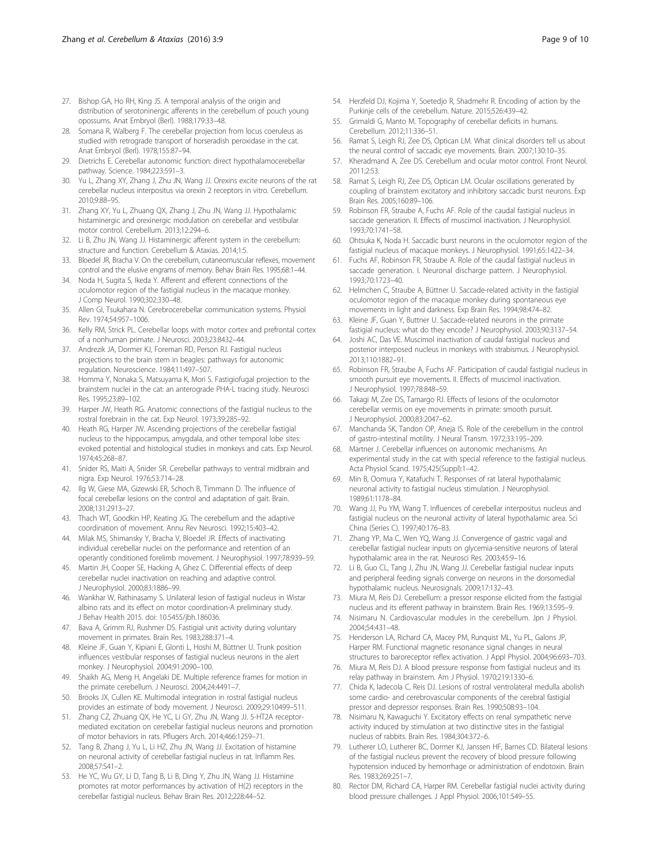- <span id="page-8-0"></span>27. Bishop GA, Ho RH, King JS. A temporal analysis of the origin and distribution of serotoninergic afferents in the cerebellum of pouch young opossums. Anat Embryol (Berl). 1988;179:33–48.
- 28. Somana R, Walberg F. The cerebellar projection from locus coeruleus as studied with retrograde transport of horseradish peroxidase in the cat. Anat Embryol (Berl). 1978;155:87–94.
- 29. Dietrichs E. Cerebellar autonomic function: direct hypothalamocerebellar pathway. Science. 1984;223:591–3.
- 30. Yu L, Zhang XY, Zhang J, Zhu JN, Wang JJ. Orexins excite neurons of the rat cerebellar nucleus interpositus via orexin 2 receptors in vitro. Cerebellum. 2010;9:88–95.
- 31. Zhang XY, Yu L, Zhuang QX, Zhang J, Zhu JN, Wang JJ. Hypothalamic histaminergic and orexinergic modulation on cerebellar and vestibular motor control. Cerebellum. 2013;12:294–6.
- 32. Li B, Zhu JN, Wang JJ. Histaminergic afferent system in the cerebellum: structure and function. Cerebellum & Ataxias. 2014;1:5.
- 33. Bloedel JR, Bracha V. On the cerebellum, cutaneomuscular reflexes, movement control and the elusive engrams of memory. Behav Brain Res. 1995;68:1–44.
- 34. Noda H, Sugita S, Ikeda Y. Afferent and efferent connections of the oculomotor region of the fastigial nucleus in the macaque monkey. J Comp Neurol. 1990;302:330–48.
- 35. Allen GI, Tsukahara N. Cerebrocerebellar communication systems. Physiol Rev. 1974;54:957–1006.
- 36. Kelly RM, Strick PL. Cerebellar loops with motor cortex and prefrontal cortex of a nonhuman primate. J Neurosci. 2003;23:8432–44.
- 37. Andrezik JA, Dormer KJ, Foreman RD, Person RJ. Fastigial nucleus projections to the brain stem in beagles: pathways for autonomic regulation. Neuroscience. 1984;11:497–507.
- 38. Homma Y, Nonaka S, Matsuyama K, Mori S. Fastigiofugal projection to the brainstem nuclei in the cat: an anterograde PHA-L tracing study. Neurosci Res. 1995;23:89–102.
- 39. Harper JW, Heath RG. Anatomic connections of the fastigial nucleus to the rostral forebrain in the cat. Exp Neurol. 1973;39:285–92.
- 40. Heath RG, Harper JW. Ascending projections of the cerebellar fastigial nucleus to the hippocampus, amygdala, and other temporal lobe sites: evoked potential and histological studies in monkeys and cats. Exp Neurol. 1974;45:268–87.
- 41. Snider RS, Maiti A, Snider SR. Cerebellar pathways to ventral midbrain and nigra. Exp Neurol. 1976;53:714–28.
- 42. Ilg W, Giese MA, Gizewski ER, Schoch B, Timmann D. The influence of focal cerebellar lesions on the control and adaptation of gait. Brain. 2008;131:2913–27.
- 43. Thach WT, Goodkin HP, Keating JG. The cerebellum and the adaptive coordination of movement. Annu Rev Neurosci. 1992;15:403–42.
- 44. Milak MS, Shimansky Y, Bracha V, Bloedel JR. Effects of inactivating individual cerebellar nuclei on the performance and retention of an operantly conditioned forelimb movement. J Neurophysiol. 1997;78:939–59.
- 45. Martin JH, Cooper SE, Hacking A, Ghez C. Differential effects of deep cerebellar nuclei inactivation on reaching and adaptive control. J Neurophysiol. 2000;83:1886–99.
- 46. Wankhar W, Rathinasamy S. Unilateral lesion of fastigial nucleus in Wistar albino rats and its effect on motor coordination-A preliminary study. J Behav Health 2015. doi: [10.5455/jbh.186036](http://dx.doi.org/10.5455/jbh.186036).
- 47. Bava A, Grimm RJ, Rushmer DS. Fastigial unit activity during voluntary movement in primates. Brain Res. 1983;288:371–4.
- 48. Kleine JF, Guan Y, Kipiani E, Glonti L, Hoshi M, Büttner U. Trunk position influences vestibular responses of fastigial nucleus neurons in the alert monkey. J Neurophysiol. 2004;91:2090–100.
- 49. Shaikh AG, Meng H, Angelaki DE. Multiple reference frames for motion in the primate cerebellum. J Neurosci. 2004;24:4491–7.
- 50. Brooks JX, Cullen KE. Multimodal integration in rostral fastigial nucleus provides an estimate of body movement. J Neurosci. 2009;29:10499–511.
- 51. Zhang CZ, Zhuang QX, He YC, Li GY, Zhu JN, Wang JJ. 5-HT2A receptormediated excitation on cerebellar fastigial nucleus neurons and promotion of motor behaviors in rats. Pflugers Arch. 2014;466:1259–71.
- 52. Tang B, Zhang J, Yu L, Li HZ, Zhu JN, Wang JJ. Excitation of histamine on neuronal activity of cerebellar fastigial nucleus in rat. Inflamm Res. 2008;57:S41–2.
- 53. He YC, Wu GY, Li D, Tang B, Li B, Ding Y, Zhu JN, Wang JJ. Histamine promotes rat motor performances by activation of H(2) receptors in the cerebellar fastigial nucleus. Behav Brain Res. 2012;228:44–52.
- 54. Herzfeld DJ, Kojima Y, Soetedjo R, Shadmehr R. Encoding of action by the Purkinje cells of the cerebellum. Nature. 2015;526:439–42.
- 55. Grimaldi G, Manto M. Topography of cerebellar deficits in humans. Cerebellum. 2012;11:336–51.
- 56. Ramat S, Leigh RJ, Zee DS, Optican LM. What clinical disorders tell us about the neural control of saccadic eye movements. Brain. 2007;130:10–35.
- 57. Kheradmand A, Zee DS. Cerebellum and ocular motor control. Front Neurol. 2011;2:53.
- 58. Ramat S, Leigh RJ, Zee DS, Optican LM. Ocular oscillations generated by coupling of brainstem excitatory and inhibitory saccadic burst neurons. Exp Brain Res. 2005;160:89–106.
- 59. Robinson FR, Straube A, Fuchs AF. Role of the caudal fastigial nucleus in saccade generation. II. Effects of muscimol inactivation. J Neurophysiol. 1993;70:1741–58.
- 60. Ohtsuka K, Noda H. Saccadic burst neurons in the oculomotor region of the fastigial nucleus of macaque monkeys. J Neurophysiol. 1991;65:1422–34.
- 61. Fuchs AF, Robinson FR, Straube A. Role of the caudal fastigial nucleus in saccade generation. I. Neuronal discharge pattern. J Neurophysiol. 1993;70:1723–40.
- 62. Helmchen C, Straube A, Büttner U. Saccade-related activity in the fastigial oculomotor region of the macaque monkey during spontaneous eye movements in light and darkness. Exp Brain Res. 1994;98:474–82.
- 63. Kleine JF, Guan Y, Buttner U. Saccade-related neurons in the primate fastigial nucleus: what do they encode? J Neurophysiol. 2003;90:3137–54.
- 64. Joshi AC, Das VE. Muscimol inactivation of caudal fastigial nucleus and posterior interposed nucleus in monkeys with strabismus. J Neurophysiol. 2013;110:1882–91.
- 65. Robinson FR, Straube A, Fuchs AF. Participation of caudal fastigial nucleus in smooth pursuit eye movements. II. Effects of muscimol inactivation. J Neurophysiol. 1997;78:848–59.
- 66. Takagi M, Zee DS, Tamargo RJ. Effects of lesions of the oculomotor cerebellar vermis on eye movements in primate: smooth pursuit. J Neurophysiol. 2000;83:2047–62.
- 67. Manchanda SK, Tandon OP, Aneja IS. Role of the cerebellum in the control of gastro-intestinal motility. J Neural Transm. 1972;33:195–209.
- 68. Martner J. Cerebellar influences on autonomic mechanisms. An experimental study in the cat with special reference to the fastigial nucleus. Acta Physiol Scand. 1975;425(Suppl):1–42.
- 69. Min B, Oomura Y, Katafuchi T. Responses of rat lateral hypothalamic neuronal activity to fastigial nucleus stimulation. J Neurophysiol. 1989;61:1178–84.
- 70. Wang JJ, Pu YM, Wang T. Influences of cerebellar interpositus nucleus and fastigial nucleus on the neuronal activity of lateral hypothalamic area. Sci China (Series C). 1997;40:176–83.
- 71. Zhang YP, Ma C, Wen YQ, Wang JJ. Convergence of gastric vagal and cerebellar fastigial nuclear inputs on glycemia-sensitive neurons of lateral hypothalamic area in the rat. Neurosci Res. 2003;45:9–16.
- 72. Li B, Guo CL, Tang J, Zhu JN, Wang JJ. Cerebellar fastigial nuclear inputs and peripheral feeding signals converge on neurons in the dorsomedial hypothalamic nucleus. Neurosignals. 2009;17:132–43.
- 73. Miura M, Reis DJ. Cerebellum: a pressor response elicited from the fastigial nucleus and its efferent pathway in brainstem. Brain Res. 1969;13:595–9.
- 74. Nisimaru N. Cardiovascular modules in the cerebellum. Jpn J Physiol. 2004;54:431–48.
- 75. Henderson LA, Richard CA, Macey PM, Runquist ML, Yu PL, Galons JP, Harper RM. Functional magnetic resonance signal changes in neural structures to baroreceptor reflex activation. J Appl Physiol. 2004;96:693–703.
- 76. Miura M, Reis DJ. A blood pressure response from fastigial nucleus and its relay pathway in brainstem. Am J Physiol. 1970;219:1330–6.
- 77. Chida K, Iadecola C, Reis DJ. Lesions of rostral ventrolateral medulla abolish some cardio- and cerebrovascular components of the cerebral fastigial pressor and depressor responses. Brain Res. 1990;508:93–104.
- 78. Nisimaru N, Kawaguchi Y. Excitatory effects on renal sympathetic nerve activity induced by stimulation at two distinctive sites in the fastigial nucleus of rabbits. Brain Res. 1984;304:372–6.
- 79. Lutherer LO, Lutherer BC, Dormer KJ, Janssen HF, Barnes CD. Bilateral lesions of the fastigial nucleus prevent the recovery of blood pressure following hypotension induced by hemorrhage or administration of endotoxin. Brain Res. 1983;269:251–7.
- 80. Rector DM, Richard CA, Harper RM. Cerebellar fastigial nuclei activity during blood pressure challenges. J Appl Physiol. 2006;101:549–55.